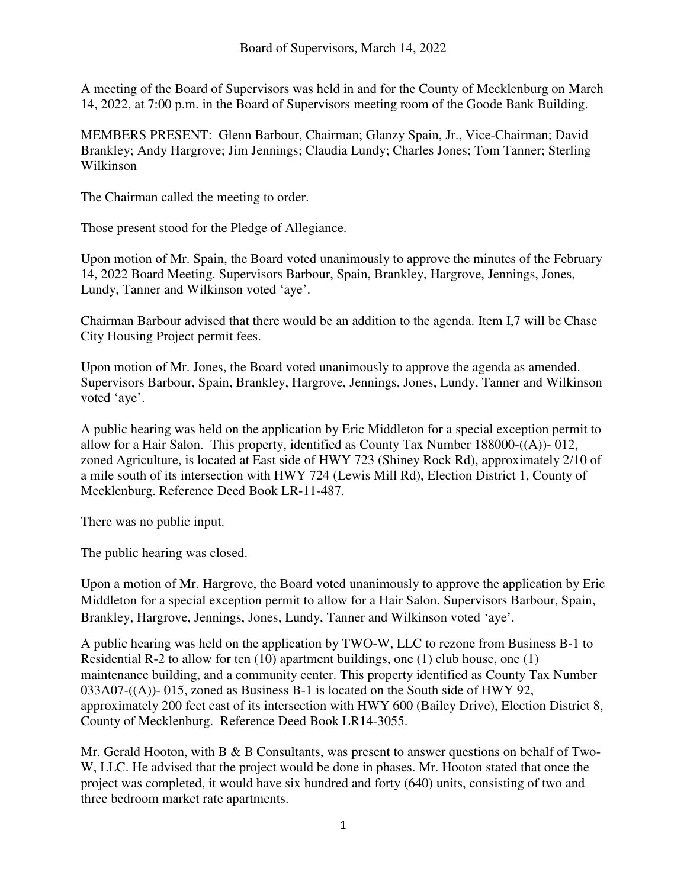A meeting of the Board of Supervisors was held in and for the County of Mecklenburg on March 14, 2022, at 7:00 p.m. in the Board of Supervisors meeting room of the Goode Bank Building.

MEMBERS PRESENT: Glenn Barbour, Chairman; Glanzy Spain, Jr., Vice-Chairman; David Brankley; Andy Hargrove; Jim Jennings; Claudia Lundy; Charles Jones; Tom Tanner; Sterling Wilkinson

The Chairman called the meeting to order.

Those present stood for the Pledge of Allegiance.

Upon motion of Mr. Spain, the Board voted unanimously to approve the minutes of the February 14, 2022 Board Meeting. Supervisors Barbour, Spain, Brankley, Hargrove, Jennings, Jones, Lundy, Tanner and Wilkinson voted 'aye'.

Chairman Barbour advised that there would be an addition to the agenda. Item I,7 will be Chase City Housing Project permit fees.

Upon motion of Mr. Jones, the Board voted unanimously to approve the agenda as amended. Supervisors Barbour, Spain, Brankley, Hargrove, Jennings, Jones, Lundy, Tanner and Wilkinson voted 'aye'.

A public hearing was held on the application by Eric Middleton for a special exception permit to allow for a Hair Salon. This property, identified as County Tax Number 188000-((A))- 012, zoned Agriculture, is located at East side of HWY 723 (Shiney Rock Rd), approximately 2/10 of a mile south of its intersection with HWY 724 (Lewis Mill Rd), Election District 1, County of Mecklenburg. Reference Deed Book LR-11-487.

There was no public input.

The public hearing was closed.

Upon a motion of Mr. Hargrove, the Board voted unanimously to approve the application by Eric Middleton for a special exception permit to allow for a Hair Salon. Supervisors Barbour, Spain, Brankley, Hargrove, Jennings, Jones, Lundy, Tanner and Wilkinson voted 'aye'.

A public hearing was held on the application by TWO-W, LLC to rezone from Business B-1 to Residential R-2 to allow for ten (10) apartment buildings, one (1) club house, one (1) maintenance building, and a community center. This property identified as County Tax Number 033A07-((A))- 015, zoned as Business B-1 is located on the South side of HWY 92, approximately 200 feet east of its intersection with HWY 600 (Bailey Drive), Election District 8, County of Mecklenburg. Reference Deed Book LR14-3055.

Mr. Gerald Hooton, with B & B Consultants, was present to answer questions on behalf of Two-W, LLC. He advised that the project would be done in phases. Mr. Hooton stated that once the project was completed, it would have six hundred and forty (640) units, consisting of two and three bedroom market rate apartments.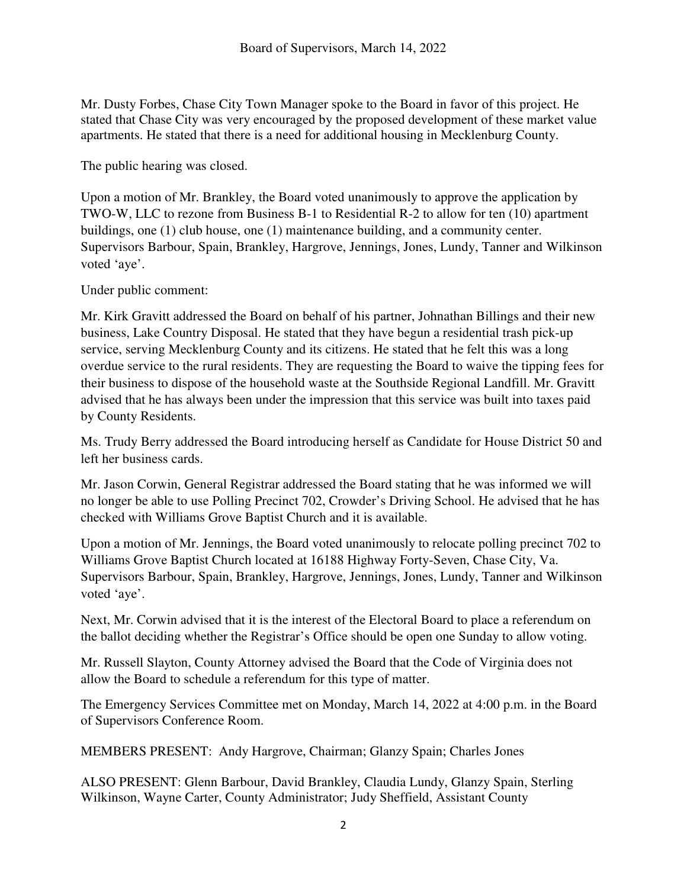Mr. Dusty Forbes, Chase City Town Manager spoke to the Board in favor of this project. He stated that Chase City was very encouraged by the proposed development of these market value apartments. He stated that there is a need for additional housing in Mecklenburg County.

The public hearing was closed.

Upon a motion of Mr. Brankley, the Board voted unanimously to approve the application by TWO-W, LLC to rezone from Business B-1 to Residential R-2 to allow for ten (10) apartment buildings, one (1) club house, one (1) maintenance building, and a community center. Supervisors Barbour, Spain, Brankley, Hargrove, Jennings, Jones, Lundy, Tanner and Wilkinson voted 'aye'.

Under public comment:

Mr. Kirk Gravitt addressed the Board on behalf of his partner, Johnathan Billings and their new business, Lake Country Disposal. He stated that they have begun a residential trash pick-up service, serving Mecklenburg County and its citizens. He stated that he felt this was a long overdue service to the rural residents. They are requesting the Board to waive the tipping fees for their business to dispose of the household waste at the Southside Regional Landfill. Mr. Gravitt advised that he has always been under the impression that this service was built into taxes paid by County Residents.

Ms. Trudy Berry addressed the Board introducing herself as Candidate for House District 50 and left her business cards.

Mr. Jason Corwin, General Registrar addressed the Board stating that he was informed we will no longer be able to use Polling Precinct 702, Crowder's Driving School. He advised that he has checked with Williams Grove Baptist Church and it is available.

Upon a motion of Mr. Jennings, the Board voted unanimously to relocate polling precinct 702 to Williams Grove Baptist Church located at 16188 Highway Forty-Seven, Chase City, Va. Supervisors Barbour, Spain, Brankley, Hargrove, Jennings, Jones, Lundy, Tanner and Wilkinson voted 'aye'.

Next, Mr. Corwin advised that it is the interest of the Electoral Board to place a referendum on the ballot deciding whether the Registrar's Office should be open one Sunday to allow voting.

Mr. Russell Slayton, County Attorney advised the Board that the Code of Virginia does not allow the Board to schedule a referendum for this type of matter.

The Emergency Services Committee met on Monday, March 14, 2022 at 4:00 p.m. in the Board of Supervisors Conference Room.

MEMBERS PRESENT: Andy Hargrove, Chairman; Glanzy Spain; Charles Jones

ALSO PRESENT: Glenn Barbour, David Brankley, Claudia Lundy, Glanzy Spain, Sterling Wilkinson, Wayne Carter, County Administrator; Judy Sheffield, Assistant County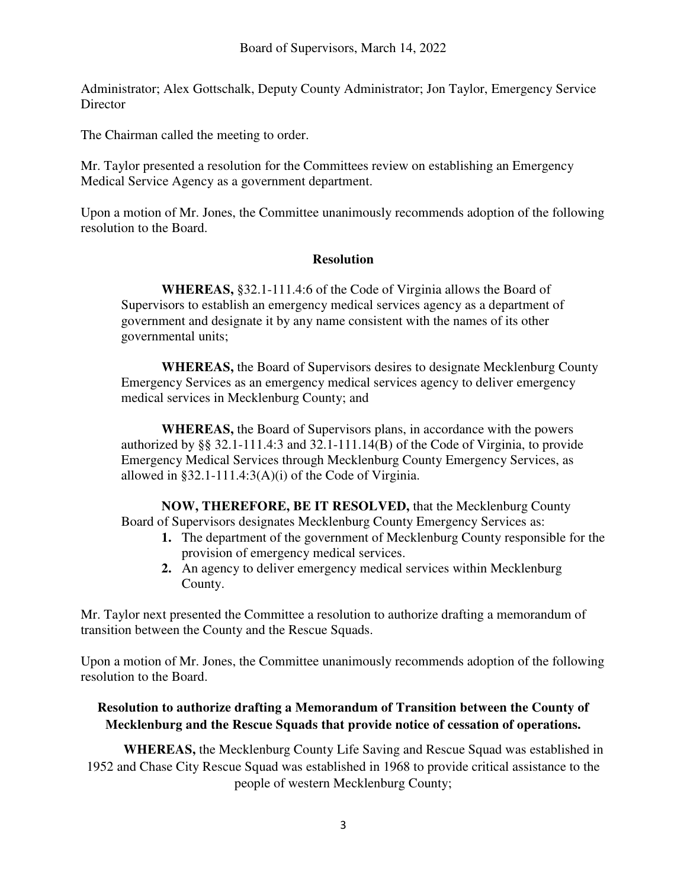Administrator; Alex Gottschalk, Deputy County Administrator; Jon Taylor, Emergency Service **Director** 

The Chairman called the meeting to order.

Mr. Taylor presented a resolution for the Committees review on establishing an Emergency Medical Service Agency as a government department.

Upon a motion of Mr. Jones, the Committee unanimously recommends adoption of the following resolution to the Board.

## **Resolution**

**WHEREAS,** §32.1-111.4:6 of the Code of Virginia allows the Board of Supervisors to establish an emergency medical services agency as a department of government and designate it by any name consistent with the names of its other governmental units;

**WHEREAS,** the Board of Supervisors desires to designate Mecklenburg County Emergency Services as an emergency medical services agency to deliver emergency medical services in Mecklenburg County; and

**WHEREAS,** the Board of Supervisors plans, in accordance with the powers authorized by §§ 32.1-111.4:3 and 32.1-111.14(B) of the Code of Virginia, to provide Emergency Medical Services through Mecklenburg County Emergency Services, as allowed in  $\S 32.1 - 111.4$ :  $3(A)(i)$  of the Code of Virginia.

**NOW, THEREFORE, BE IT RESOLVED,** that the Mecklenburg County Board of Supervisors designates Mecklenburg County Emergency Services as:

- **1.** The department of the government of Mecklenburg County responsible for the provision of emergency medical services.
- **2.** An agency to deliver emergency medical services within Mecklenburg County.

Mr. Taylor next presented the Committee a resolution to authorize drafting a memorandum of transition between the County and the Rescue Squads.

Upon a motion of Mr. Jones, the Committee unanimously recommends adoption of the following resolution to the Board.

## **Resolution to authorize drafting a Memorandum of Transition between the County of Mecklenburg and the Rescue Squads that provide notice of cessation of operations.**

**WHEREAS,** the Mecklenburg County Life Saving and Rescue Squad was established in 1952 and Chase City Rescue Squad was established in 1968 to provide critical assistance to the people of western Mecklenburg County;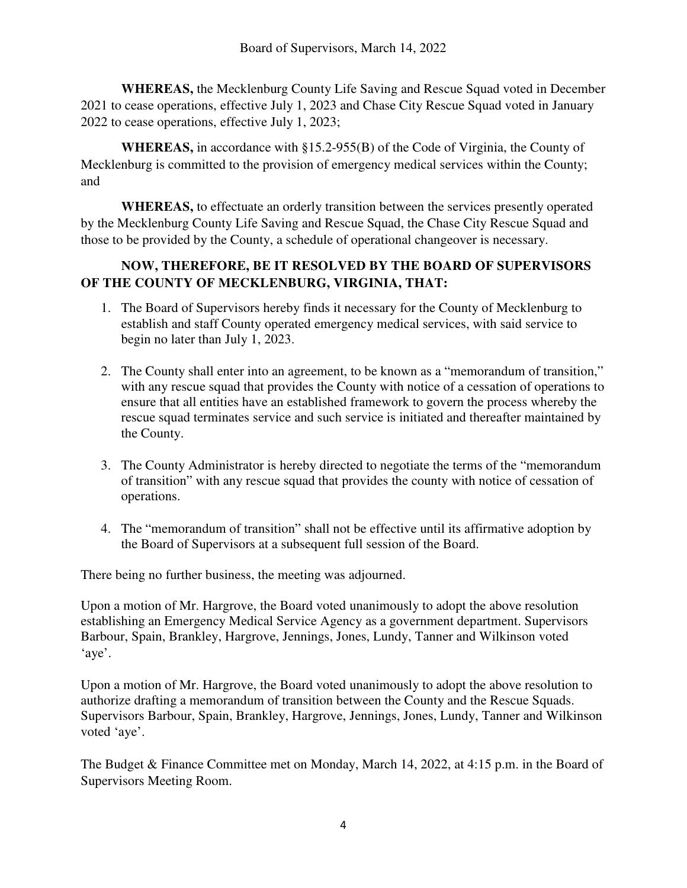**WHEREAS,** the Mecklenburg County Life Saving and Rescue Squad voted in December 2021 to cease operations, effective July 1, 2023 and Chase City Rescue Squad voted in January 2022 to cease operations, effective July 1, 2023;

**WHEREAS,** in accordance with §15.2-955(B) of the Code of Virginia, the County of Mecklenburg is committed to the provision of emergency medical services within the County; and

**WHEREAS,** to effectuate an orderly transition between the services presently operated by the Mecklenburg County Life Saving and Rescue Squad, the Chase City Rescue Squad and those to be provided by the County, a schedule of operational changeover is necessary.

## **NOW, THEREFORE, BE IT RESOLVED BY THE BOARD OF SUPERVISORS OF THE COUNTY OF MECKLENBURG, VIRGINIA, THAT:**

- 1. The Board of Supervisors hereby finds it necessary for the County of Mecklenburg to establish and staff County operated emergency medical services, with said service to begin no later than July 1, 2023.
- 2. The County shall enter into an agreement, to be known as a "memorandum of transition," with any rescue squad that provides the County with notice of a cessation of operations to ensure that all entities have an established framework to govern the process whereby the rescue squad terminates service and such service is initiated and thereafter maintained by the County.
- 3. The County Administrator is hereby directed to negotiate the terms of the "memorandum of transition" with any rescue squad that provides the county with notice of cessation of operations.
- 4. The "memorandum of transition" shall not be effective until its affirmative adoption by the Board of Supervisors at a subsequent full session of the Board.

There being no further business, the meeting was adjourned.

Upon a motion of Mr. Hargrove, the Board voted unanimously to adopt the above resolution establishing an Emergency Medical Service Agency as a government department. Supervisors Barbour, Spain, Brankley, Hargrove, Jennings, Jones, Lundy, Tanner and Wilkinson voted 'aye'.

Upon a motion of Mr. Hargrove, the Board voted unanimously to adopt the above resolution to authorize drafting a memorandum of transition between the County and the Rescue Squads. Supervisors Barbour, Spain, Brankley, Hargrove, Jennings, Jones, Lundy, Tanner and Wilkinson voted 'aye'.

The Budget & Finance Committee met on Monday, March 14, 2022, at 4:15 p.m. in the Board of Supervisors Meeting Room.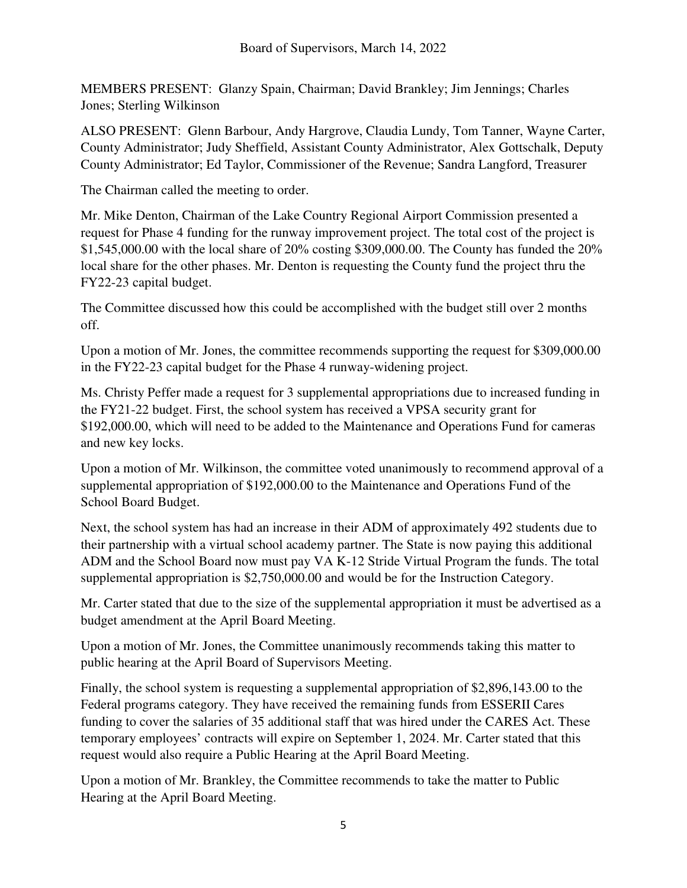MEMBERS PRESENT: Glanzy Spain, Chairman; David Brankley; Jim Jennings; Charles Jones; Sterling Wilkinson

ALSO PRESENT: Glenn Barbour, Andy Hargrove, Claudia Lundy, Tom Tanner, Wayne Carter, County Administrator; Judy Sheffield, Assistant County Administrator, Alex Gottschalk, Deputy County Administrator; Ed Taylor, Commissioner of the Revenue; Sandra Langford, Treasurer

The Chairman called the meeting to order.

Mr. Mike Denton, Chairman of the Lake Country Regional Airport Commission presented a request for Phase 4 funding for the runway improvement project. The total cost of the project is \$1,545,000.00 with the local share of 20% costing \$309,000.00. The County has funded the 20% local share for the other phases. Mr. Denton is requesting the County fund the project thru the FY22-23 capital budget.

The Committee discussed how this could be accomplished with the budget still over 2 months off.

Upon a motion of Mr. Jones, the committee recommends supporting the request for \$309,000.00 in the FY22-23 capital budget for the Phase 4 runway-widening project.

Ms. Christy Peffer made a request for 3 supplemental appropriations due to increased funding in the FY21-22 budget. First, the school system has received a VPSA security grant for \$192,000.00, which will need to be added to the Maintenance and Operations Fund for cameras and new key locks.

Upon a motion of Mr. Wilkinson, the committee voted unanimously to recommend approval of a supplemental appropriation of \$192,000.00 to the Maintenance and Operations Fund of the School Board Budget.

Next, the school system has had an increase in their ADM of approximately 492 students due to their partnership with a virtual school academy partner. The State is now paying this additional ADM and the School Board now must pay VA K-12 Stride Virtual Program the funds. The total supplemental appropriation is \$2,750,000.00 and would be for the Instruction Category.

Mr. Carter stated that due to the size of the supplemental appropriation it must be advertised as a budget amendment at the April Board Meeting.

Upon a motion of Mr. Jones, the Committee unanimously recommends taking this matter to public hearing at the April Board of Supervisors Meeting.

Finally, the school system is requesting a supplemental appropriation of \$2,896,143.00 to the Federal programs category. They have received the remaining funds from ESSERII Cares funding to cover the salaries of 35 additional staff that was hired under the CARES Act. These temporary employees' contracts will expire on September 1, 2024. Mr. Carter stated that this request would also require a Public Hearing at the April Board Meeting.

Upon a motion of Mr. Brankley, the Committee recommends to take the matter to Public Hearing at the April Board Meeting.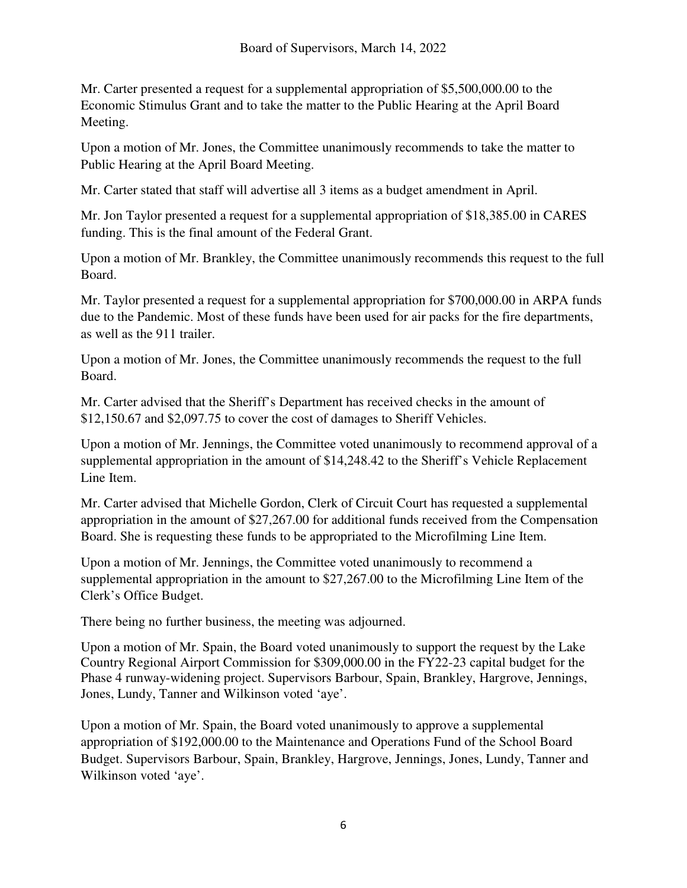Mr. Carter presented a request for a supplemental appropriation of \$5,500,000.00 to the Economic Stimulus Grant and to take the matter to the Public Hearing at the April Board Meeting.

Upon a motion of Mr. Jones, the Committee unanimously recommends to take the matter to Public Hearing at the April Board Meeting.

Mr. Carter stated that staff will advertise all 3 items as a budget amendment in April.

Mr. Jon Taylor presented a request for a supplemental appropriation of \$18,385.00 in CARES funding. This is the final amount of the Federal Grant.

Upon a motion of Mr. Brankley, the Committee unanimously recommends this request to the full Board.

Mr. Taylor presented a request for a supplemental appropriation for \$700,000.00 in ARPA funds due to the Pandemic. Most of these funds have been used for air packs for the fire departments, as well as the 911 trailer.

Upon a motion of Mr. Jones, the Committee unanimously recommends the request to the full Board.

Mr. Carter advised that the Sheriff's Department has received checks in the amount of \$12,150.67 and \$2,097.75 to cover the cost of damages to Sheriff Vehicles.

Upon a motion of Mr. Jennings, the Committee voted unanimously to recommend approval of a supplemental appropriation in the amount of \$14,248.42 to the Sheriff's Vehicle Replacement Line Item.

Mr. Carter advised that Michelle Gordon, Clerk of Circuit Court has requested a supplemental appropriation in the amount of \$27,267.00 for additional funds received from the Compensation Board. She is requesting these funds to be appropriated to the Microfilming Line Item.

Upon a motion of Mr. Jennings, the Committee voted unanimously to recommend a supplemental appropriation in the amount to \$27,267.00 to the Microfilming Line Item of the Clerk's Office Budget.

There being no further business, the meeting was adjourned.

Upon a motion of Mr. Spain, the Board voted unanimously to support the request by the Lake Country Regional Airport Commission for \$309,000.00 in the FY22-23 capital budget for the Phase 4 runway-widening project. Supervisors Barbour, Spain, Brankley, Hargrove, Jennings, Jones, Lundy, Tanner and Wilkinson voted 'aye'.

Upon a motion of Mr. Spain, the Board voted unanimously to approve a supplemental appropriation of \$192,000.00 to the Maintenance and Operations Fund of the School Board Budget. Supervisors Barbour, Spain, Brankley, Hargrove, Jennings, Jones, Lundy, Tanner and Wilkinson voted 'aye'.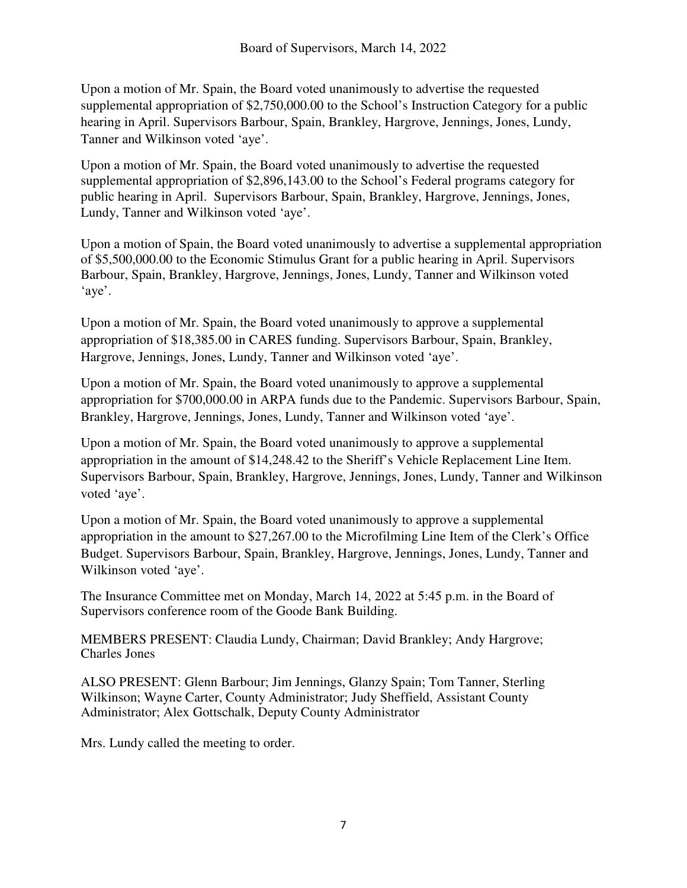Upon a motion of Mr. Spain, the Board voted unanimously to advertise the requested supplemental appropriation of \$2,750,000.00 to the School's Instruction Category for a public hearing in April. Supervisors Barbour, Spain, Brankley, Hargrove, Jennings, Jones, Lundy, Tanner and Wilkinson voted 'aye'.

Upon a motion of Mr. Spain, the Board voted unanimously to advertise the requested supplemental appropriation of \$2,896,143.00 to the School's Federal programs category for public hearing in April. Supervisors Barbour, Spain, Brankley, Hargrove, Jennings, Jones, Lundy, Tanner and Wilkinson voted 'aye'.

Upon a motion of Spain, the Board voted unanimously to advertise a supplemental appropriation of \$5,500,000.00 to the Economic Stimulus Grant for a public hearing in April. Supervisors Barbour, Spain, Brankley, Hargrove, Jennings, Jones, Lundy, Tanner and Wilkinson voted 'aye'.

Upon a motion of Mr. Spain, the Board voted unanimously to approve a supplemental appropriation of \$18,385.00 in CARES funding. Supervisors Barbour, Spain, Brankley, Hargrove, Jennings, Jones, Lundy, Tanner and Wilkinson voted 'aye'.

Upon a motion of Mr. Spain, the Board voted unanimously to approve a supplemental appropriation for \$700,000.00 in ARPA funds due to the Pandemic. Supervisors Barbour, Spain, Brankley, Hargrove, Jennings, Jones, Lundy, Tanner and Wilkinson voted 'aye'.

Upon a motion of Mr. Spain, the Board voted unanimously to approve a supplemental appropriation in the amount of \$14,248.42 to the Sheriff's Vehicle Replacement Line Item. Supervisors Barbour, Spain, Brankley, Hargrove, Jennings, Jones, Lundy, Tanner and Wilkinson voted 'aye'.

Upon a motion of Mr. Spain, the Board voted unanimously to approve a supplemental appropriation in the amount to \$27,267.00 to the Microfilming Line Item of the Clerk's Office Budget. Supervisors Barbour, Spain, Brankley, Hargrove, Jennings, Jones, Lundy, Tanner and Wilkinson voted 'aye'.

The Insurance Committee met on Monday, March 14, 2022 at 5:45 p.m. in the Board of Supervisors conference room of the Goode Bank Building.

MEMBERS PRESENT: Claudia Lundy, Chairman; David Brankley; Andy Hargrove; Charles Jones

ALSO PRESENT: Glenn Barbour; Jim Jennings, Glanzy Spain; Tom Tanner, Sterling Wilkinson; Wayne Carter, County Administrator; Judy Sheffield, Assistant County Administrator; Alex Gottschalk, Deputy County Administrator

Mrs. Lundy called the meeting to order.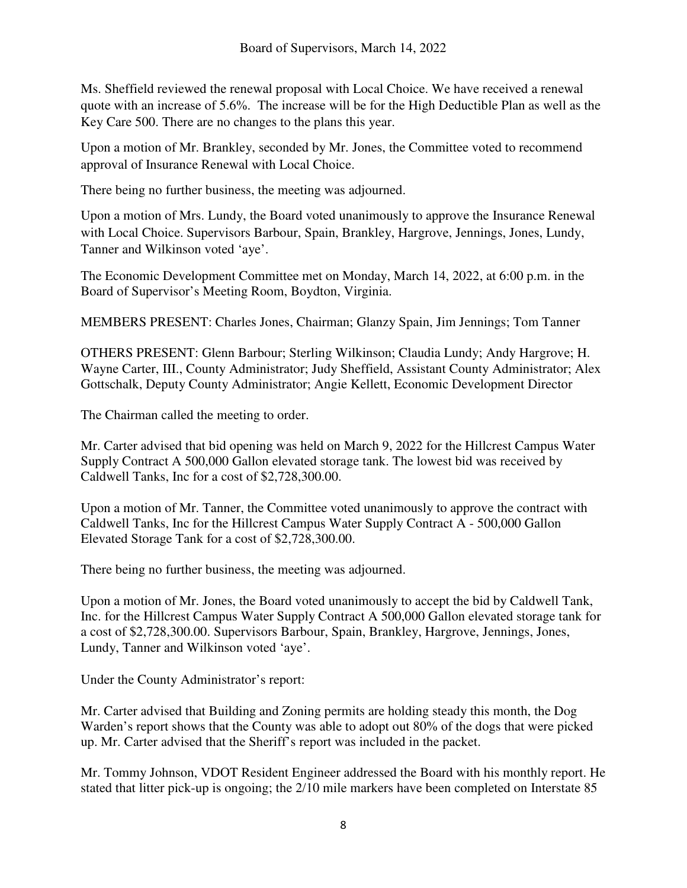Ms. Sheffield reviewed the renewal proposal with Local Choice. We have received a renewal quote with an increase of 5.6%. The increase will be for the High Deductible Plan as well as the Key Care 500. There are no changes to the plans this year.

Upon a motion of Mr. Brankley, seconded by Mr. Jones, the Committee voted to recommend approval of Insurance Renewal with Local Choice.

There being no further business, the meeting was adjourned.

Upon a motion of Mrs. Lundy, the Board voted unanimously to approve the Insurance Renewal with Local Choice. Supervisors Barbour, Spain, Brankley, Hargrove, Jennings, Jones, Lundy, Tanner and Wilkinson voted 'aye'.

The Economic Development Committee met on Monday, March 14, 2022, at 6:00 p.m. in the Board of Supervisor's Meeting Room, Boydton, Virginia.

MEMBERS PRESENT: Charles Jones, Chairman; Glanzy Spain, Jim Jennings; Tom Tanner

OTHERS PRESENT: Glenn Barbour; Sterling Wilkinson; Claudia Lundy; Andy Hargrove; H. Wayne Carter, III., County Administrator; Judy Sheffield, Assistant County Administrator; Alex Gottschalk, Deputy County Administrator; Angie Kellett, Economic Development Director

The Chairman called the meeting to order.

Mr. Carter advised that bid opening was held on March 9, 2022 for the Hillcrest Campus Water Supply Contract A 500,000 Gallon elevated storage tank. The lowest bid was received by Caldwell Tanks, Inc for a cost of \$2,728,300.00.

Upon a motion of Mr. Tanner, the Committee voted unanimously to approve the contract with Caldwell Tanks, Inc for the Hillcrest Campus Water Supply Contract A - 500,000 Gallon Elevated Storage Tank for a cost of \$2,728,300.00.

There being no further business, the meeting was adjourned.

Upon a motion of Mr. Jones, the Board voted unanimously to accept the bid by Caldwell Tank, Inc. for the Hillcrest Campus Water Supply Contract A 500,000 Gallon elevated storage tank for a cost of \$2,728,300.00. Supervisors Barbour, Spain, Brankley, Hargrove, Jennings, Jones, Lundy, Tanner and Wilkinson voted 'aye'.

Under the County Administrator's report:

Mr. Carter advised that Building and Zoning permits are holding steady this month, the Dog Warden's report shows that the County was able to adopt out 80% of the dogs that were picked up. Mr. Carter advised that the Sheriff's report was included in the packet.

Mr. Tommy Johnson, VDOT Resident Engineer addressed the Board with his monthly report. He stated that litter pick-up is ongoing; the 2/10 mile markers have been completed on Interstate 85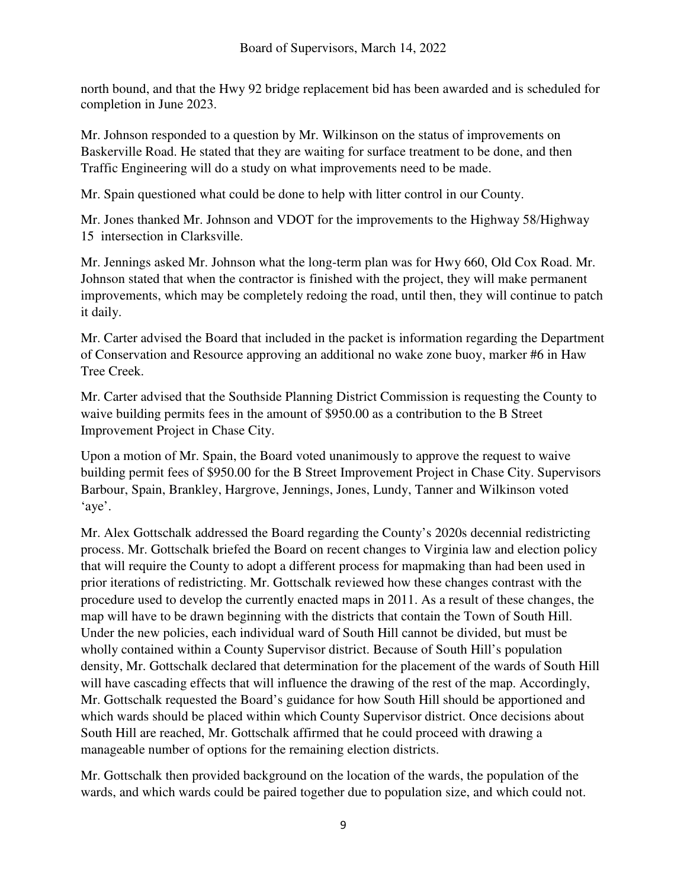north bound, and that the Hwy 92 bridge replacement bid has been awarded and is scheduled for completion in June 2023.

Mr. Johnson responded to a question by Mr. Wilkinson on the status of improvements on Baskerville Road. He stated that they are waiting for surface treatment to be done, and then Traffic Engineering will do a study on what improvements need to be made.

Mr. Spain questioned what could be done to help with litter control in our County.

Mr. Jones thanked Mr. Johnson and VDOT for the improvements to the Highway 58/Highway 15 intersection in Clarksville.

Mr. Jennings asked Mr. Johnson what the long-term plan was for Hwy 660, Old Cox Road. Mr. Johnson stated that when the contractor is finished with the project, they will make permanent improvements, which may be completely redoing the road, until then, they will continue to patch it daily.

Mr. Carter advised the Board that included in the packet is information regarding the Department of Conservation and Resource approving an additional no wake zone buoy, marker #6 in Haw Tree Creek.

Mr. Carter advised that the Southside Planning District Commission is requesting the County to waive building permits fees in the amount of \$950.00 as a contribution to the B Street Improvement Project in Chase City.

Upon a motion of Mr. Spain, the Board voted unanimously to approve the request to waive building permit fees of \$950.00 for the B Street Improvement Project in Chase City. Supervisors Barbour, Spain, Brankley, Hargrove, Jennings, Jones, Lundy, Tanner and Wilkinson voted 'aye'.

Mr. Alex Gottschalk addressed the Board regarding the County's 2020s decennial redistricting process. Mr. Gottschalk briefed the Board on recent changes to Virginia law and election policy that will require the County to adopt a different process for mapmaking than had been used in prior iterations of redistricting. Mr. Gottschalk reviewed how these changes contrast with the procedure used to develop the currently enacted maps in 2011. As a result of these changes, the map will have to be drawn beginning with the districts that contain the Town of South Hill. Under the new policies, each individual ward of South Hill cannot be divided, but must be wholly contained within a County Supervisor district. Because of South Hill's population density, Mr. Gottschalk declared that determination for the placement of the wards of South Hill will have cascading effects that will influence the drawing of the rest of the map. Accordingly, Mr. Gottschalk requested the Board's guidance for how South Hill should be apportioned and which wards should be placed within which County Supervisor district. Once decisions about South Hill are reached, Mr. Gottschalk affirmed that he could proceed with drawing a manageable number of options for the remaining election districts.

Mr. Gottschalk then provided background on the location of the wards, the population of the wards, and which wards could be paired together due to population size, and which could not.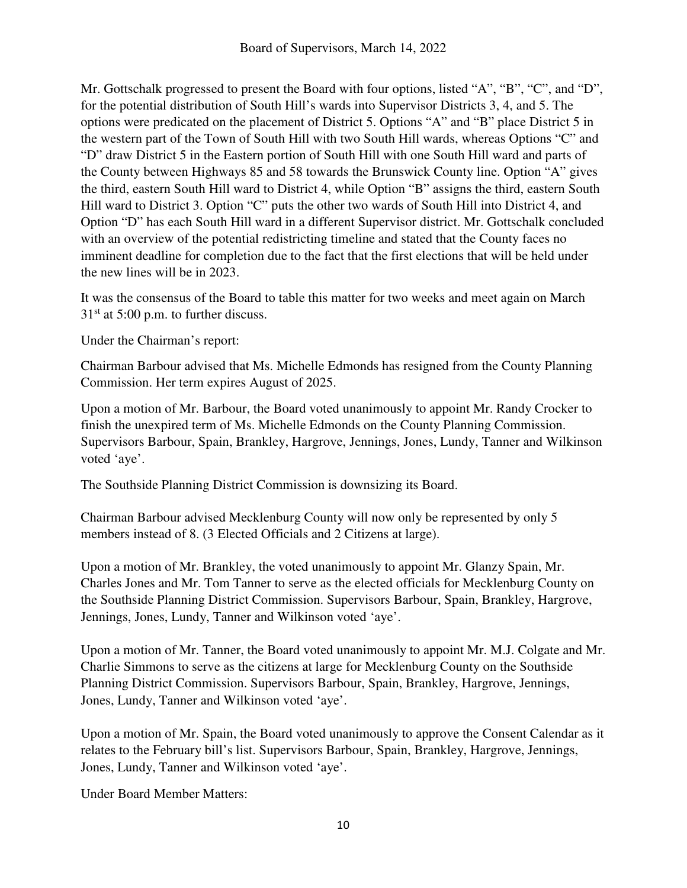Mr. Gottschalk progressed to present the Board with four options, listed "A", "B", "C", and "D", for the potential distribution of South Hill's wards into Supervisor Districts 3, 4, and 5. The options were predicated on the placement of District 5. Options "A" and "B" place District 5 in the western part of the Town of South Hill with two South Hill wards, whereas Options "C" and "D" draw District 5 in the Eastern portion of South Hill with one South Hill ward and parts of the County between Highways 85 and 58 towards the Brunswick County line. Option "A" gives the third, eastern South Hill ward to District 4, while Option "B" assigns the third, eastern South Hill ward to District 3. Option "C" puts the other two wards of South Hill into District 4, and Option "D" has each South Hill ward in a different Supervisor district. Mr. Gottschalk concluded with an overview of the potential redistricting timeline and stated that the County faces no imminent deadline for completion due to the fact that the first elections that will be held under the new lines will be in 2023.

It was the consensus of the Board to table this matter for two weeks and meet again on March  $31<sup>st</sup>$  at 5:00 p.m. to further discuss.

Under the Chairman's report:

Chairman Barbour advised that Ms. Michelle Edmonds has resigned from the County Planning Commission. Her term expires August of 2025.

Upon a motion of Mr. Barbour, the Board voted unanimously to appoint Mr. Randy Crocker to finish the unexpired term of Ms. Michelle Edmonds on the County Planning Commission. Supervisors Barbour, Spain, Brankley, Hargrove, Jennings, Jones, Lundy, Tanner and Wilkinson voted 'aye'.

The Southside Planning District Commission is downsizing its Board.

Chairman Barbour advised Mecklenburg County will now only be represented by only 5 members instead of 8. (3 Elected Officials and 2 Citizens at large).

Upon a motion of Mr. Brankley, the voted unanimously to appoint Mr. Glanzy Spain, Mr. Charles Jones and Mr. Tom Tanner to serve as the elected officials for Mecklenburg County on the Southside Planning District Commission. Supervisors Barbour, Spain, Brankley, Hargrove, Jennings, Jones, Lundy, Tanner and Wilkinson voted 'aye'.

Upon a motion of Mr. Tanner, the Board voted unanimously to appoint Mr. M.J. Colgate and Mr. Charlie Simmons to serve as the citizens at large for Mecklenburg County on the Southside Planning District Commission. Supervisors Barbour, Spain, Brankley, Hargrove, Jennings, Jones, Lundy, Tanner and Wilkinson voted 'aye'.

Upon a motion of Mr. Spain, the Board voted unanimously to approve the Consent Calendar as it relates to the February bill's list. Supervisors Barbour, Spain, Brankley, Hargrove, Jennings, Jones, Lundy, Tanner and Wilkinson voted 'aye'.

Under Board Member Matters: